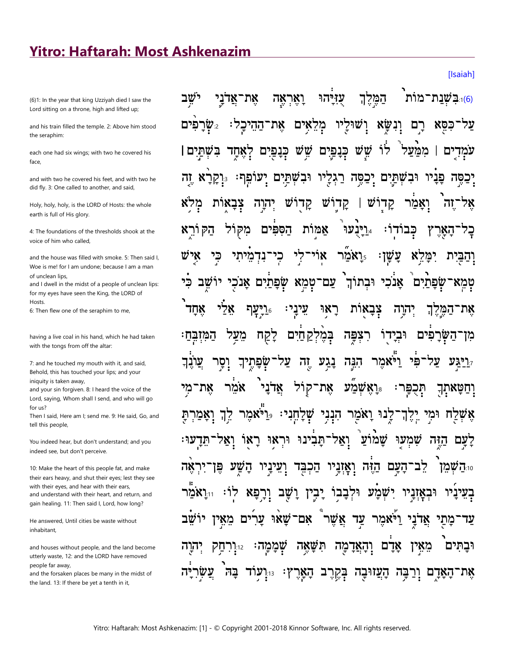## **Yitro: Haftarah: Most Ashkenazim**

(6)1: In the year that king Uzziyah died I saw the Lord sitting on a throne, high and lifted up;

and his train filled the temple. 2: Above him stood the seraphim:

each one had six wings; with two he covered his face

and with two he covered his feet, and with two he did fly. 3: One called to another, and said,

Holy, holy, holy, is the LORD of Hosts: the whole earth is full of His glory.

4<sup>.</sup> The foundations of the thresholds shook at the voice of him who called.

and the house was filled with smoke 5: Then said L Woe is me! for I am undone; because I am a man of unclean lips,

and I dwell in the midst of a people of unclean lips: for my eyes have seen the King, the LORD of Hosts.

6: Then flew one of the seraphim to me,

having a live coal in his hand, which he had taken with the tongs from off the altar:

7: and he touched my mouth with it, and said, Behold, this has touched your lips; and your iniquity is taken away,

and your sin forgiven. 8: I heard the voice of the Lord, saying, Whom shall I send, and who will go  $for us?$ 

Then I said, Here am I; send me. 9: He said, Go, and tell this people,

You indeed hear, but don't understand; and you indeed see, but don't perceive.

10: Make the heart of this people fat, and make their ears heavy, and shut their eyes; lest they see with their eyes, and hear with their ears, and understand with their heart, and return, and gain healing. 11: Then said I, Lord, how long?

He answered, Until cities be waste without inhabitant.

and houses without people, and the land become utterly waste, 12: and the LORD have removed people far away,

and the forsaken places be many in the midst of the land. 13: If there be yet a tenth in it,

ישׁב הַמֵּלֵךְ <u>ווכּשׁנת־מות </u> ֿאַדני אָת <u>ואָראָה</u> עוירה מִלְאִים 'שור שרפים: את־ההיכל: יו ונשא רם כסא לוֹ שש WΨ בשתים | כנפים ממעל אחד כנפי ים עמד נּ**ִיקַרא** וּבשׁתּים יִכַפֶּה יעופף: יִכַסֶּה רַגְלַיו פניו ובשתים זה צבאות יהוה W Ŵ קדו W קדו קדו ואמר הַק <u>יר</u>יבער ורא מקול הספים אַמּות כבודו: האר אולי' כי נִדְמִיתי ו**אמר.** ֿצַשַן וַהַבַּיִת יושב עם־טמא שפתים אנכי וּבתוֹךְ אנכי שפתים רַיַעַף. אלי יָנִינַי רַאו אחד צָבַאות יהוה אֶת־הַמֶּקֵךְ בְּמֵלִקַ חַיִּם וּבְיַדוֹ רִצְפַּה המובח: <u>קקח</u> מן־השרפים מעל נֲגַע הְנַה וסר שִׁפַּתֵיךָ על וה' וַיֹּאמֵר ד**יגע** אֵת־קוֹל אמר את־ אדני <u>יַּוֹאָ</u>שְׂמַע מי תִּכִפּו וַחַטַּאתָך לֶנוּ וָאמַר הִנְנִי שָׁלָחֵנִי: <sub>ײַ</sub>וַיֹּאמִר לח וּמִי יֵלֶךְ 77 Ъ. וַאַל־תַּבְינוּ וּרְאוּ רַאו שמוע שמעו הזה לעם ־יראה פן ֿ השע הַכְבֵּד וְאַזַנֵיו הַזָּה העם לב־ 10:**ה שמן** וִעֵינַיו יִשְׁמַע וּלְבַבוֹ יַבִין וַיֹ שַׁב וְרַפַּא רו: בעיניו וּבאזניו אֲשֶׁר אֲדֹנָי וַיֹּאמֵר עַד ערים שאי אם<sup>.</sup> מתי מאין עד שממה וכתים הוה תשאה והאדמה אדם מאין 77:12 ֿהָעֵוּבָה בְּקֶרֶב הָאָרֶץ: 13. האַדם וְרַבֵּה עוד את

**Ilsaiahl**